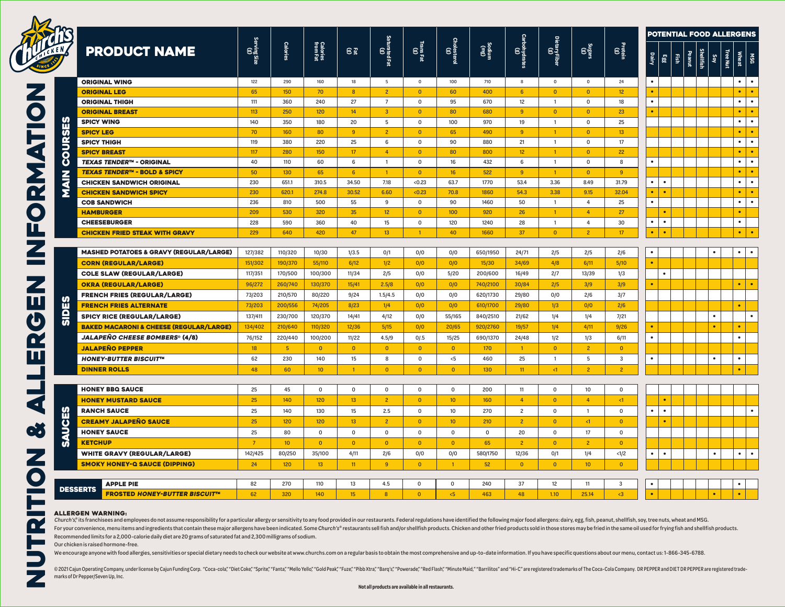

|                 |                                                         |                   |          | Calories<br>from Fat | E®              | Saturated Fat<br>Saturated Fat | TransFat<br>(g) | Cholesterol<br>Cloolesterol | Cau)<br>unipos | $\begin{bmatrix} \cos\theta \\ \cos\theta \end{bmatrix}$ | Dietary Fiber<br>(g) |                  |                 |           |           |               |                     | <b>POTENTIAL FOOD ALLERGENS</b> |                 |              |           |  |
|-----------------|---------------------------------------------------------|-------------------|----------|----------------------|-----------------|--------------------------------|-----------------|-----------------------------|----------------|----------------------------------------------------------|----------------------|------------------|-----------------|-----------|-----------|---------------|---------------------|---------------------------------|-----------------|--------------|-----------|--|
| $\frac{10}{15}$ | <b>PRODUCT NAME</b>                                     | Serving Size<br>G | Calories |                      |                 |                                |                 |                             |                |                                                          |                      | $\frac{(8)}{48}$ | Protein<br>(g)  | Dairy     | 883       | $\frac{1}{2}$ | Shellfish<br>Peanut | ।<br>।<br>১৯                    | <b>Tree Nut</b> | <b>Wheat</b> | ន្ត្រី    |  |
| COURSES         | <b>ORIGINAL WING</b>                                    | 122               | 290      | 160                  | 18              | 5                              | $\mathbf 0$     | 100                         | 710            | 8                                                        | $\circ$              | $\mathbf 0$      | 24              | $\bullet$ |           |               |                     |                                 |                 | $\bullet$    | $\bullet$ |  |
|                 | <b>ORIGINAL LEG</b>                                     | 65                | 150      | 70                   | 8               | 2 <sup>7</sup>                 | $\overline{0}$  | 60                          | 400            | 6                                                        | $\overline{0}$       | $\overline{0}$   | 12 <sup>°</sup> | $\bullet$ |           |               |                     |                                 |                 | $\bullet$    | $\bullet$ |  |
|                 | <b>ORIGINAL THIGH</b>                                   | 111               | 360      | 240                  | 27              | $7\overline{ }$                | $\mathbf 0$     | 95                          | 670            | 12                                                       | $\overline{1}$       | $\mathbf 0$      | 18              | $\bullet$ |           |               |                     |                                 |                 | $\bullet$    | $\bullet$ |  |
|                 | <b>ORIGINAL BREAST</b>                                  | 113               | 250      | 120                  | 14              | 3 <sup>2</sup>                 | $\overline{0}$  | 80                          | 680            | 9                                                        | $\overline{0}$       | $\overline{0}$   | 23              | $\bullet$ |           |               |                     |                                 |                 | $\bullet$    | $\bullet$ |  |
|                 | <b>SPICY WING</b>                                       | 140               | 350      | 180                  | 20              | 5                              | $\mathsf 0$     | 100                         | 970            | 19                                                       | $\mathbf{1}$         | $\mathbf 0$      | 25              |           |           |               |                     |                                 |                 | $\bullet$    | $\bullet$ |  |
|                 | <b>SPICY LEG</b>                                        | 70                | 160      | 80                   | 9               | $\overline{2}$                 | $\overline{0}$  | 65                          | 490            | -9                                                       | $\mathbf{1}$         | $\overline{0}$   | 13 <sup>°</sup> |           |           |               |                     |                                 |                 | $\bullet$    | $\bullet$ |  |
|                 | <b>SPICY THIGH</b>                                      | 119               | 380      | 220                  | 25              | $\,6\,$                        | $\mathbf 0$     | 90                          | 880            | 21                                                       | $\overline{1}$       | $\mathbf 0$      | 17              |           |           |               |                     |                                 |                 | $\bullet$    | $\bullet$ |  |
|                 | <b>SPICY BREAST</b>                                     | 117               | 280      | 150                  | 17              | $\overline{4}$                 | $\overline{0}$  | 80                          | 800            | 12                                                       | $\mathbf{1}$         | $\overline{0}$   | 22              |           |           |               |                     |                                 |                 | $\bullet$    | $\bullet$ |  |
|                 | <b>TEXAS TENDER™ - ORIGINAL</b>                         | 40                | 110      | 60                   | 6               | $\mathbf{1}$                   | $\mathbf 0$     | 16                          | 432            | 6                                                        | $\overline{1}$       | $\mathbf 0$      | 8               | $\bullet$ |           |               |                     |                                 |                 | $\bullet$    | $\bullet$ |  |
|                 | <b>TEXAS TENDER™ - BOLD &amp; SPICY</b>                 | 50                | 130      | 65                   | $6\overline{6}$ | $\mathbf{1}$                   | $\overline{0}$  | 16                          | 522            | 9                                                        | $\mathbf{1}$         | $\mathbf{0}$     | 9               |           |           |               |                     |                                 |                 | $\bullet$    | $\bullet$ |  |
| <b>NIAN</b>     | <b>CHICKEN SANDWICH ORIGINAL</b>                        | 230               | 651.1    | 310.5                | 34.50           | 7.18                           | <0.23           | 63.7                        | 1770           | 53.4                                                     | 3.36                 | 8.49             | 31.79           | $\bullet$ | $\bullet$ |               |                     |                                 |                 | $\bullet$    | $\bullet$ |  |
|                 | <b>CHICKEN SANDWICH SPICY</b>                           | 230               | 620.1    | 274.8                | 30.52           | 6.60                           | < 0.23          | 70.8                        | 1860           | 54.3                                                     | 3.38                 | 9.15             | 32.04           | $\bullet$ | $\bullet$ |               |                     |                                 |                 | $\bullet$    | $\bullet$ |  |
|                 | <b>COB SANDWICH</b>                                     | 236               | 810      | 500                  | 55              | 9                              | $\mathbf 0$     | 90                          | 1460           | 50                                                       | $\overline{1}$       | $\overline{4}$   | 25              | $\bullet$ |           |               |                     |                                 |                 | $\bullet$    |           |  |
|                 | <b>HAMBURGER</b>                                        | 209               | 530      | 320                  | 35              | 12 <sup>°</sup>                | $\overline{0}$  | 100                         | 920            | 26                                                       | $\mathbf{1}$         | $\overline{4}$   | 27              |           | $\bullet$ |               |                     |                                 |                 | $\bullet$    |           |  |
|                 | <b>CHEESEBURGER</b>                                     | 228               | 590      | 360                  | 40              | 15                             | $\mathbf 0$     | 120                         | 1240           | 28                                                       | $\overline{1}$       | $\overline{a}$   | 30              | $\bullet$ | $\bullet$ |               |                     |                                 |                 | $\bullet$    |           |  |
|                 | <b>CHICKEN FRIED STEAK WITH GRAVY</b>                   | 229               | 640      | 420                  | 47              | 13 <sup>°</sup>                | $\mathbf{1}$    | 40                          | 1660           | 37                                                       | $\overline{0}$       | $\overline{2}$   | 17 <sup>°</sup> | $\bullet$ | $\bullet$ |               |                     |                                 |                 | $\bullet$    | $\bullet$ |  |
|                 |                                                         |                   |          |                      |                 |                                |                 |                             |                |                                                          |                      |                  |                 |           |           |               |                     |                                 |                 |              |           |  |
|                 | <b>MASHED POTATOES &amp; GRAVY (REGULAR/LARGE)</b>      | 127/382           | 110/320  | 10/30                | 1/3.5           | 0/1                            | 0/0             | 0/0                         | 650/1950       | 24/71                                                    | 2/5                  | 2/5              | 2/6             | $\bullet$ |           |               |                     | ٠                               |                 | $\bullet$    | $\bullet$ |  |
|                 | <b>CORN (REGULAR/LARGE)</b>                             | 151/302           | 190/370  | 55/110               | 6/12            | 1/2                            | 0/0             | 0/0                         | 15/30          | 34/69                                                    | 4/8                  | 6/11             | 5/10            | $\bullet$ |           |               |                     |                                 |                 |              |           |  |
|                 | <b>COLE SLAW (REGULAR/LARGE)</b>                        | 117/351           | 170/500  | 100/300              | 11/34           | 2/5                            | 0/0             | 5/20                        | 200/600        | 16/49                                                    | 2/7                  | 13/39            | 1/3             |           | $\bullet$ |               |                     |                                 |                 |              |           |  |
|                 | <b>OKRA (REGULAR/LARGE)</b>                             | 96/272            | 260/740  | 130/370              | 15/41           | 2.5/8                          | 0/0             | 0/0                         | 740/2100       | 30/84                                                    | 2/5                  | 3/9              | 3/9             | $\bullet$ |           |               |                     |                                 |                 | $\bullet$    | $\bullet$ |  |
|                 | <b>FRENCH FRIES (REGULAR/LARGE)</b>                     | 73/203            | 210/570  | 80/220               | 9/24            | 1.5/4.5                        | 0/0             | 0/0                         | 620/1730       | 29/80                                                    | 0/0                  | 2/6              | 3/7             |           |           |               |                     |                                 |                 |              |           |  |
| SIDES           | <b>FRENCH FRIES ALTERNATE</b>                           | 73/203            | 200/556  | 74/205               | 8/23            | 1/4                            | 0/0             | 0/0                         | 610/1700       | 29/80                                                    | 1/3                  | 0/0              | 2/6             |           |           |               |                     |                                 |                 | $\bullet$    |           |  |
|                 | <b>SPICY RICE (REGULAR/LARGE)</b>                       | 137/411           | 230/700  | 120/370              | 14/41           | 4/12                           | 0/0             | 55/165                      | 840/2510       | 21/62                                                    | 1/4                  | 1/4              | 7/21            |           |           |               |                     | $\bullet$                       |                 |              | $\bullet$ |  |
|                 | <b>BAKED MACARONI &amp; CHEESE (REGULAR/LARGE)</b>      | 134/402           | 210/640  | 110/320              | 12/36           | 5/15                           | 0/0             | 20/65                       | 920/2760       | 19/57                                                    | 1/4                  | 4/11             | 9/26            | $\bullet$ |           |               |                     | $\bullet$                       |                 | $\bullet$    |           |  |
|                 | <b>JALAPEÑO CHEESE BOMBERS® (4/8)</b>                   | 76/152            | 220/440  | 100/200              | 11/22           | 4.5/9                          | 0/0.5           | 15/25                       | 690/1370       | 24/48                                                    | 1/2                  | 1/3              | 6/11            | $\bullet$ |           |               |                     |                                 |                 | $\bullet$    |           |  |
|                 | <b>JALAPEÑO PEPPER</b>                                  | 18                | $-5$     | $\overline{0}$       | $\overline{0}$  | $\overline{0}$                 | $\overline{0}$  | $\overline{0}$              | 170            | $\blacksquare$                                           | $\overline{0}$       | $\overline{2}$   | $\overline{0}$  |           |           |               |                     |                                 |                 |              |           |  |
|                 | <b>HONEY-BUTTER BISCUIT<sup>IM</sup></b>                | 62                | 230      | 140                  | 15              | 8                              | $^{\circ}$      | < 5                         | 460            | 25                                                       | $\overline{1}$       | 5                | 3               | $\bullet$ |           |               |                     | $\bullet$                       |                 | $\bullet$    |           |  |
|                 | <b>DINNER ROLLS</b>                                     | 48                | 60       | 10 <sup>°</sup>      | $\overline{1}$  | $\overline{0}$                 | $\overline{0}$  | $\overline{0}$              | 130            | 11                                                       | $\leq$ 1             | $\overline{2}$   | $\overline{2}$  |           |           |               |                     |                                 |                 | $\bullet$    |           |  |
|                 |                                                         |                   |          |                      |                 |                                |                 |                             |                |                                                          |                      |                  |                 |           |           |               |                     |                                 |                 |              |           |  |
|                 | <b>HONEY BBQ SAUCE</b>                                  | 25                | 45       | $\mathbf 0$          | $\mathbf 0$     | $\mathbf 0$                    | $\mathbf 0$     | $\mathbf 0$                 | 200            | 11                                                       | $\mathbf 0$          | 10               | $\mathbf 0$     |           |           |               |                     |                                 |                 |              |           |  |
|                 | <b>HONEY MUSTARD SAUCE</b>                              | 25                | 140      | 120                  | 13              | 2 <sup>7</sup>                 | $\overline{0}$  | 10 <sup>°</sup>             | 160            | $\overline{4}$                                           | $\overline{0}$       | $\overline{4}$   | <1              |           | $\bullet$ |               |                     |                                 |                 |              |           |  |
|                 | <b>RANCH SAUCE</b>                                      | 25                | 140      | 130                  | 15              | 2.5                            | $\mathbf 0$     | 10                          | 270            | $\overline{c}$                                           | $\mathbf 0$          | $\overline{1}$   | $\mathbf 0$     | $\bullet$ | $\bullet$ |               |                     |                                 |                 |              |           |  |
|                 | <b>CREAMY JALAPEÑO SAUCE</b>                            | 25                | 120      | 120                  | 13              | 2 <sup>7</sup>                 | $\overline{0}$  | 10 <sup>°</sup>             | 210            | $\overline{2}$                                           | $\overline{0}$       | $\leq$ 1         | $\overline{0}$  |           | $\bullet$ |               |                     |                                 |                 |              |           |  |
|                 | <b>HONEY SAUCE</b>                                      | 25                | 80       | $\mathbf 0$          | $\mathbf 0$     | $\mathsf 0$                    | $\mathbf 0$     | $\mathbf 0$                 | $\mathbf 0$    | 20                                                       | $\mathbf 0$          | 17               | $\mathbf 0$     |           |           |               |                     |                                 |                 |              |           |  |
| <b>SAUCES</b>   | <b>KETCHUP</b>                                          | $\overline{7}$    | 10       | $\overline{0}$       | $\Omega$        | $\overline{0}$                 | $\overline{0}$  | $\overline{0}$              | 65             | $\overline{2}$                                           | $\mathbf{0}$         | $\overline{2}$   | $\overline{0}$  |           |           |               |                     |                                 |                 |              |           |  |
|                 | <b>WHITE GRAVY (REGULAR/LARGE)</b>                      | 142/425           | 80/250   | 35/100               | 4/11            | 2/6                            | 0/0             | 0/0                         | 580/1750       | 12/36                                                    | 0/1                  | 1/4              | <1/2            | $\bullet$ | $\bullet$ |               |                     | $\bullet$                       |                 | $\bullet$    | $\bullet$ |  |
|                 | <b>SMOKY HONEY-Q SAUCE (DIPPING)</b>                    | 24                | 120      | 13                   | 11              | 9                              | $\bullet$       | $\mathbf{1}$                | 52             | $\overline{0}$                                           | $\overline{0}$       | 10 <sup>°</sup>  | $\overline{0}$  |           |           |               |                     |                                 |                 |              |           |  |
|                 |                                                         |                   |          |                      |                 |                                |                 |                             |                |                                                          |                      |                  |                 |           |           |               |                     |                                 |                 |              |           |  |
|                 | <b>APPLE PIE</b>                                        | 82                | 270      | 110                  | 13              | 4.5                            | $\mathbf 0$     | $\mathbf 0$                 | 240            | 37                                                       | 12                   | 11               | 3               |           |           |               |                     |                                 |                 |              |           |  |
|                 | <b>DESSERTS</b><br><b>FROSTED HONEY-BUTTER BISCUIT"</b> | 62                | 320      | 140                  | 15              | $\overline{8}$                 | $\overline{0}$  | 5<                          | 463            | 48                                                       | 1.10                 | 25.14            | $\leq$ 3        |           |           |               |                     |                                 |                 |              |           |  |
|                 |                                                         |                   |          |                      |                 |                                |                 |                             |                |                                                          |                      |                  |                 |           |           |               |                     |                                 |                 |              |           |  |

## ALLERGEN WARNING:

Church's® its franchisees and employees do not assume responsibility for a particular allergy or sensitivity to any food provided in our restaurants. Federal regulations have identified the following major food allergens: For your convenience, menu items and ingredients that contain these major allergens have been indicated. Some Church's® restaurants sell fish and/or shellfish products. Chicken and other fried products sold in those stores Recommended limits for a 2,000-calorie daily diet are 20 grams of saturated fat and 2,300 milligrams of sodium.

Our chicken is raised hormone-free.

We encourage anyone with food allergies, sensitivities or special dietary needs to check our website at www.churchs.com on a regular basis to obtain the most comprehensive and up-to-date information. If you have specific q

@2021 Cajun Operating Company, under license by Cajun Funding Corp. "Coca-cola","Diet Coke,""Sprite","Fanta","Mello Yello;""Sprite","Fanta","Mello Yello;""Soul Peak,""Fixe","Pibb Xtra;""Barq's","Powerade;" "Red Flash","Min marks of Dr Pepper/Seven Up, Inc.